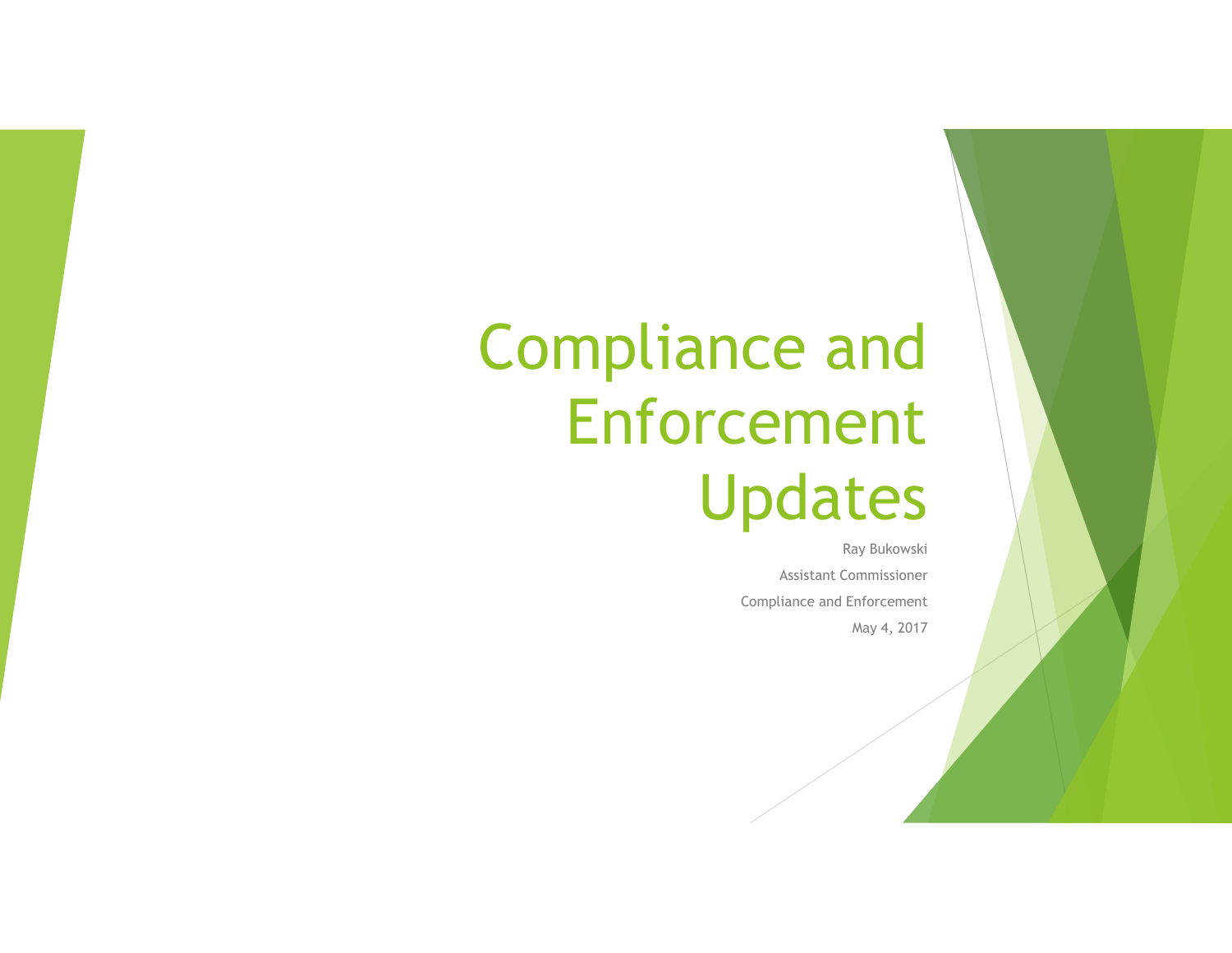### Compliance and Enforcement Updates

Ray Bukowski Assistant Commissioner Compliance and Enforcement May 4, 2017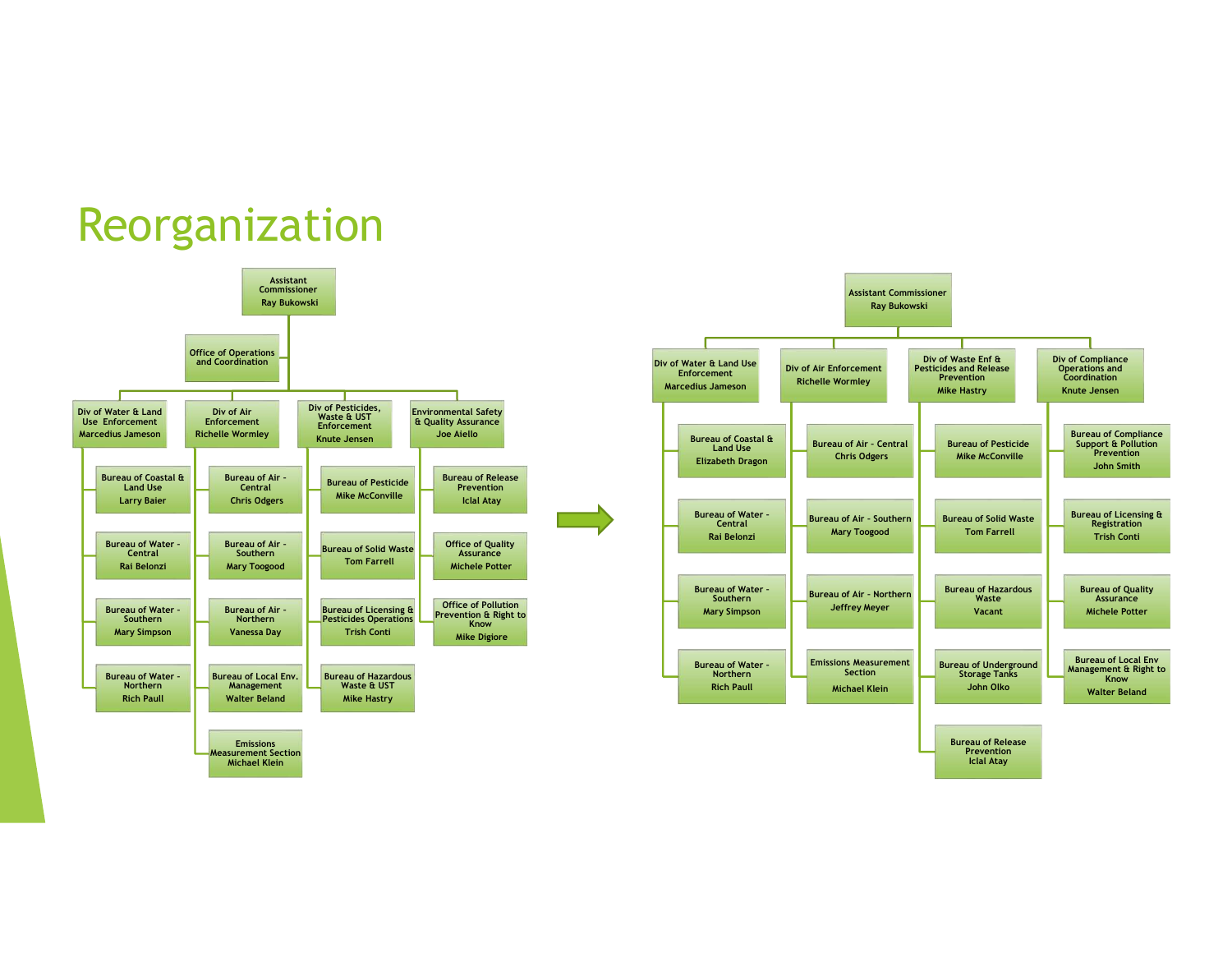#### Reorganization

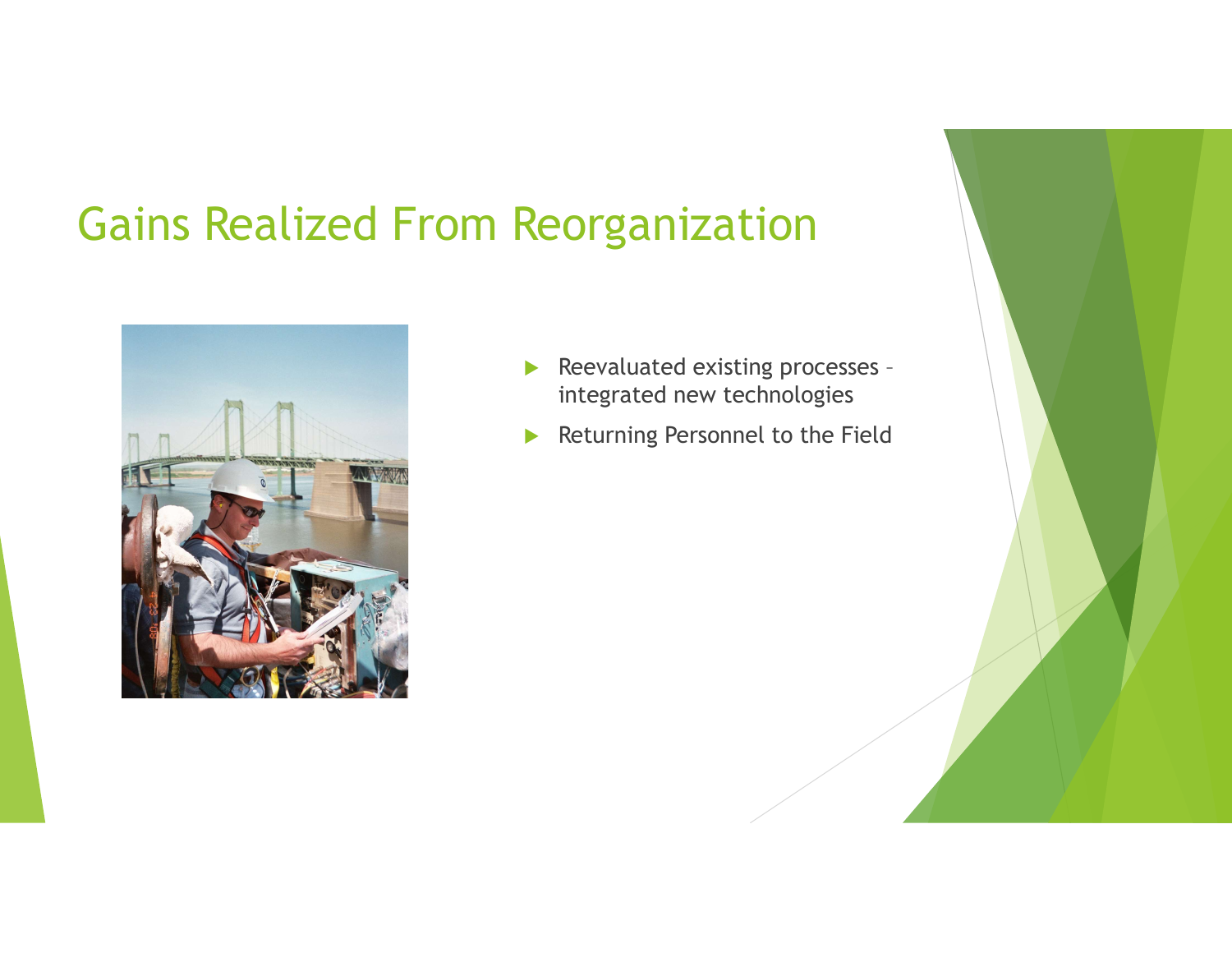### Gains Realized From Reorganization



- Reevaluated existing processes integrated new technologies
- Returning Personnel to the Field

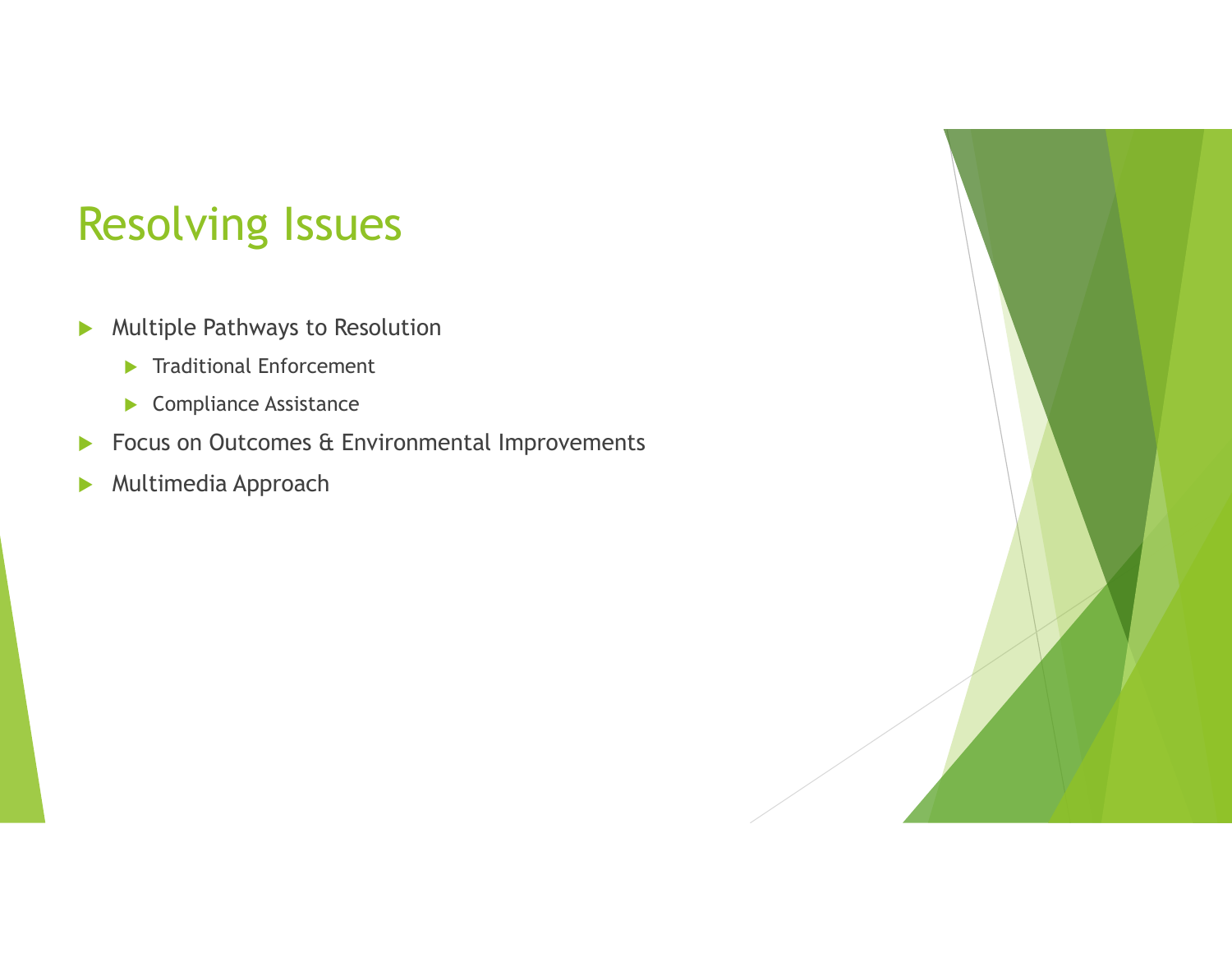### Resolving Issues

- Multiple Pathways to Resolution
	- **Traditional Enforcement**
	- Compliance Assistance
- **Focus on Outcomes & Environmental Improvements**
- **Multimedia Approach**

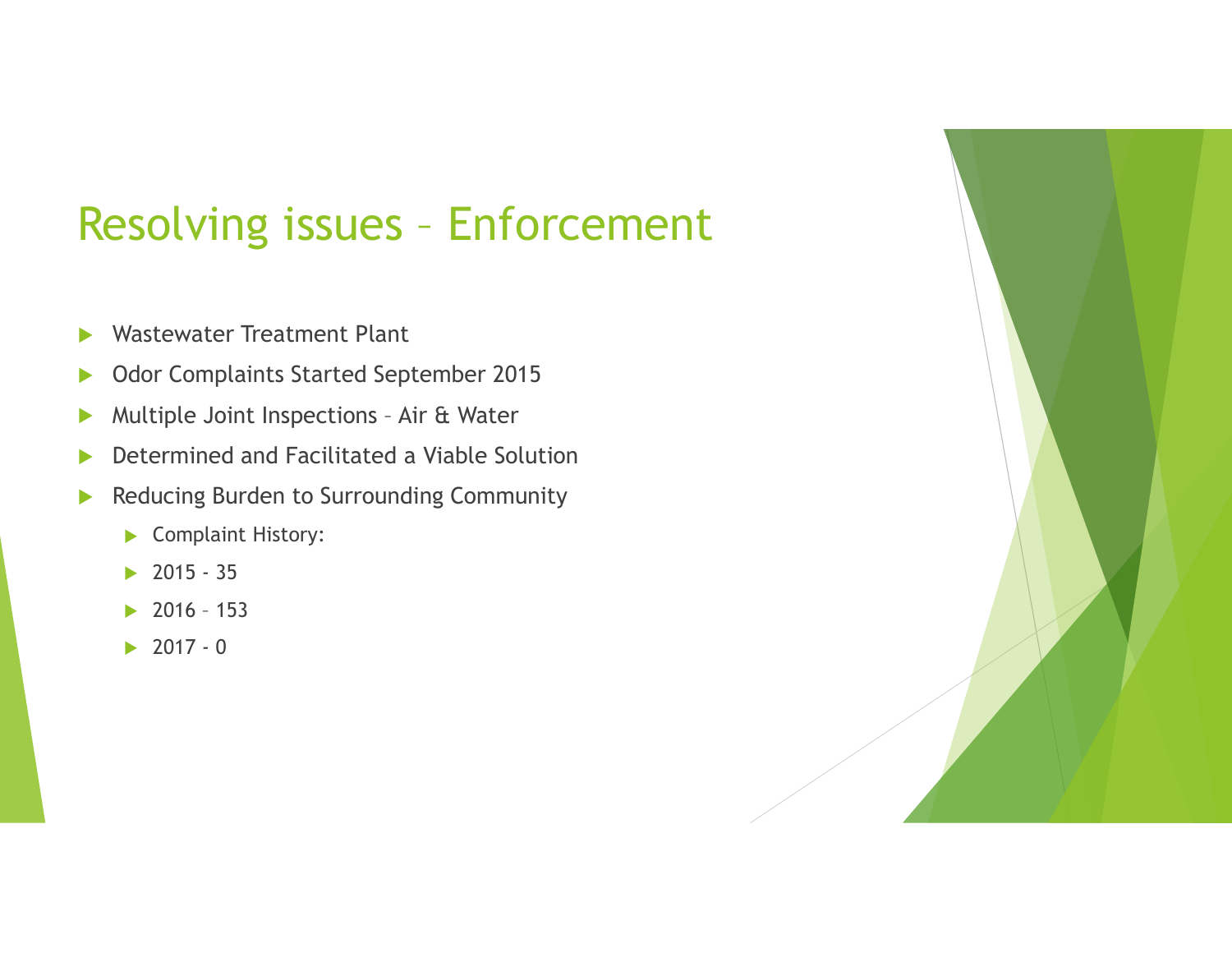### **SOlving issues - Enforcement**<br>
Mastewater Treatment Plant<br>
Mastewater Treatment Plant<br>
Mastewater Treatment Plant<br>
Multiple Joint Inspections - Air & Water<br>
vetermined and Facilitated a Viable Solution<br>
educing Burden to Solving issues - Enforcement<br>
Vastewater Treatment Plant<br>
Vdor Complaints Started September 2015<br>
Nultiple Joint Inspections - Air & Water<br>
vetermined and Facilitated a Viable Solution<br>
educing Burden to Surrounding Commu

- **Wastewater Treatment Plant**
- **Dealing Complaints Started September 2015**
- 
- ▶ Determined and Facilitated a Viable Solution Vastewater Treatment Plant<br>
Ndor Complaints Started September 2015<br>
Nultiple Joint Inspections - Air & Water<br>
etermined and Facilitated a Viable Solution<br>
educing Burden to Surrounding Community<br>
▶ Complaint History:<br>
▶ 2
- Reducing Burden to Surrounding Community
	- Complaint History:
	-
	-
	-

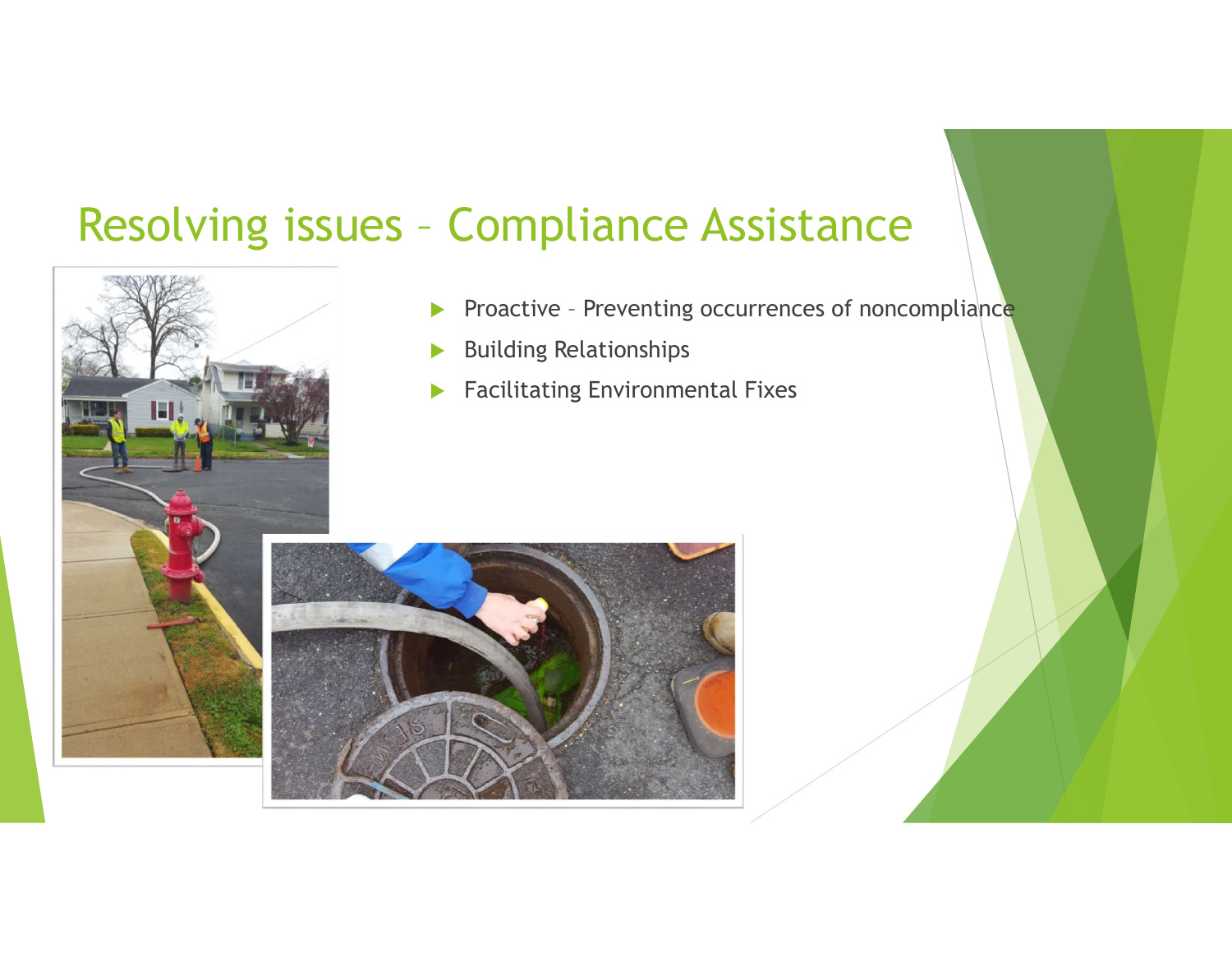## Resolving issues - Compliance Assistance Compliance Assistance<br>
Proactive – Preventing occurrences of noncompliance<br>
→ Building Relationships<br>
→ Facilitating Environmental Fixes



- 
- Building Relationships
- **Facilitating Environmental Fixes**

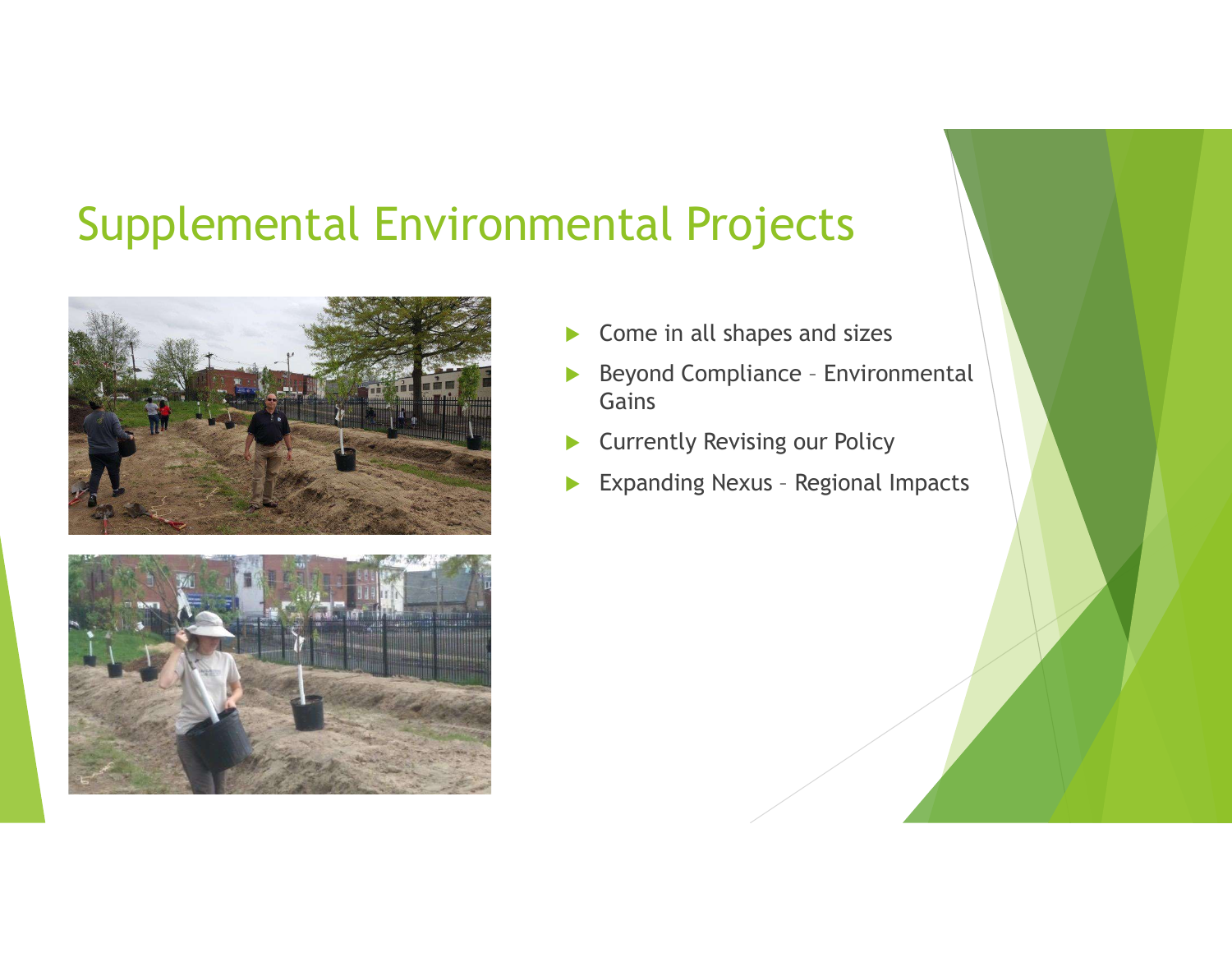### Supplemental Environmental Projects





- Come in all shapes and sizes
- **Entral Projects<br>
→ Come in all shapes and sizes<br>
→ Beyond Compliance Environmental<br>
Gains<br>
→ Currently Revising our Policy<br>
→ Enception News Derived Images** Gains **Expanding Nexus – Regional Impacts<br>
Expanding Nexus – Regional Impacts<br>
Expanding Nexus – Regional Impacts<br>
Expanding Nexus – Regional Impacts<br>
Expanding Nexus – Regional Impacts**
- **Currently Revising our Policy**
-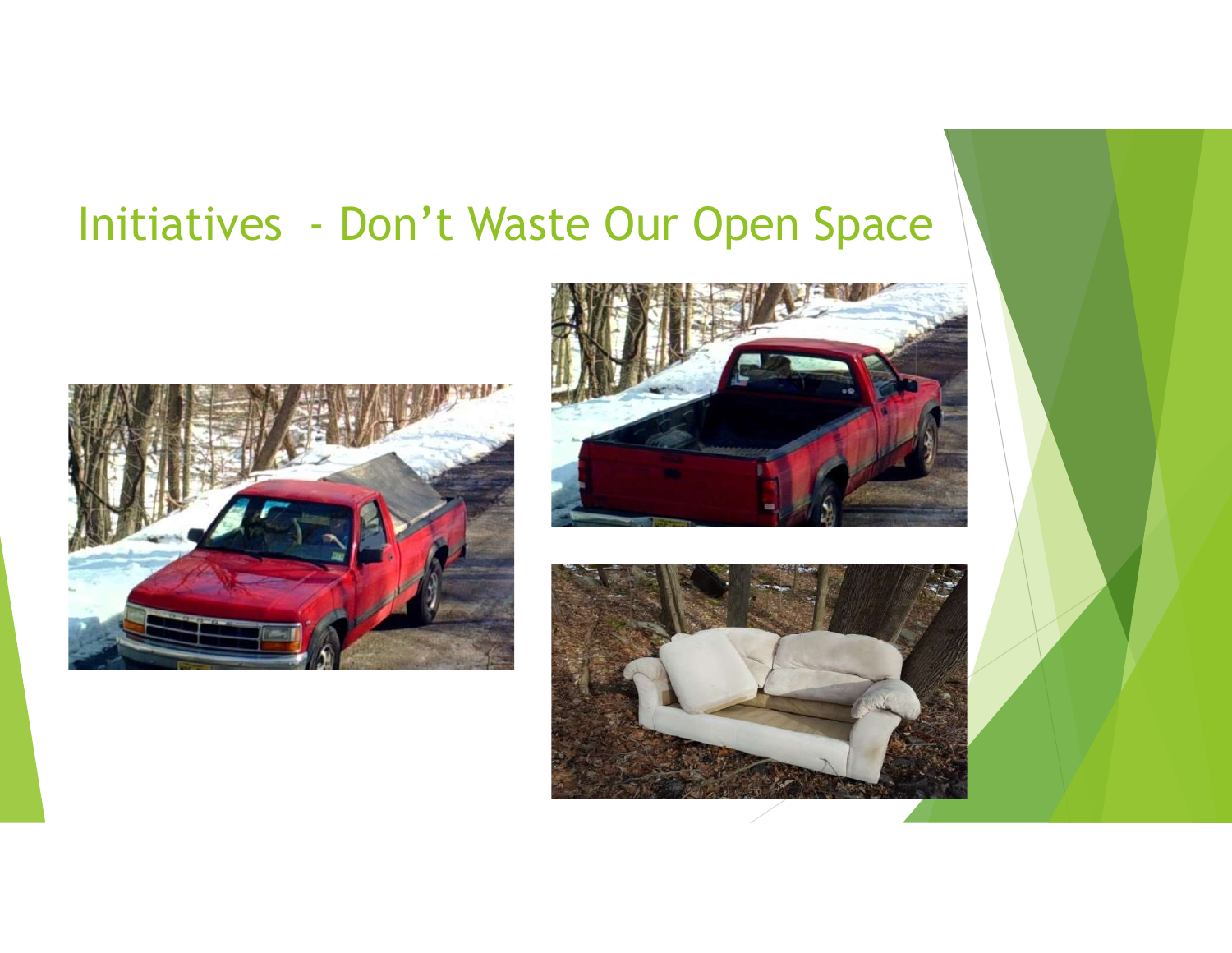### Initiatives - Don't Waste Our Open Space





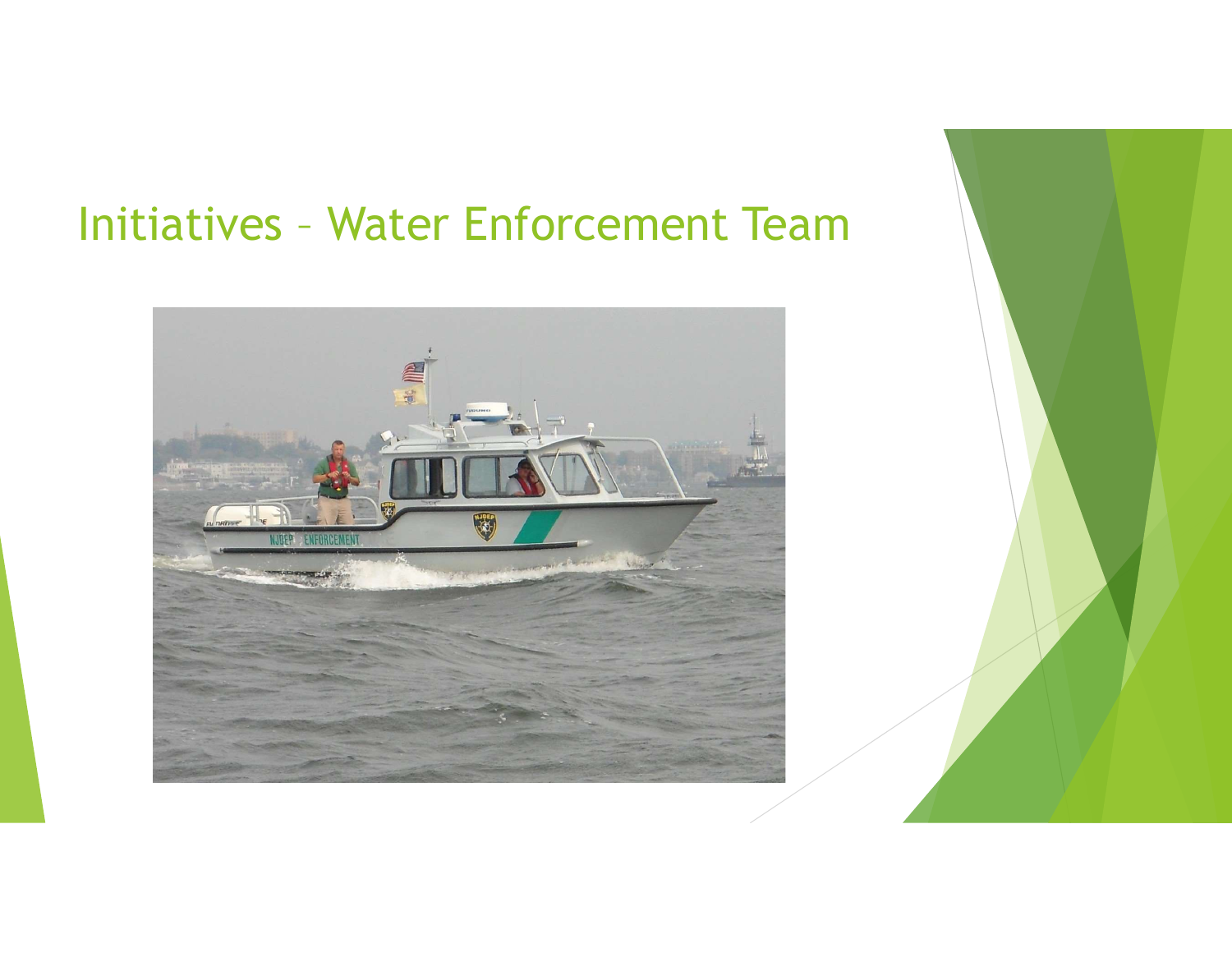# Initiatives – Water Enforcement Team